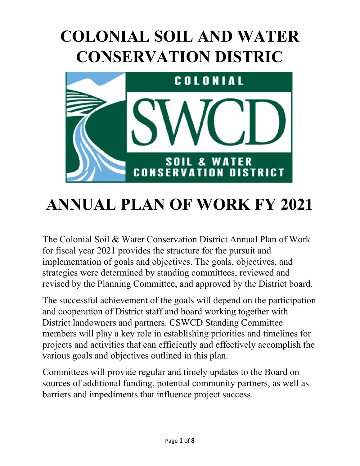# **COLONIAL SOIL AND WATER CONSERVATION DISTRIC**



# **ANNUAL PLAN OF WORK FY 2021**

The Colonial Soil & Water Conservation District Annual Plan of Work for fiscal year 2021 provides the structure for the pursuit and implementation of goals and objectives. The goals, objectives, and strategies were determined by standing committees, reviewed and revised by the Planning Committee, and approved by the District board.

The successful achievement of the goals will depend on the participation and cooperation of District staff and board working together with District landowners and partners. CSWCD Standing Committee members will play a key role in establishing priorities and timelines for projects and activities that can efficiently and effectively accomplish the various goals and objectives outlined in this plan.

Committees will provide regular and timely updates to the Board on sources of additional funding, potential community partners, as well as barriers and impediments that influence project success.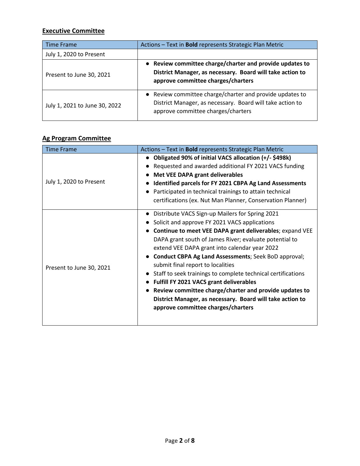## **Executive Committee**

| <b>Time Frame</b>             | Actions - Text in <b>Bold</b> represents Strategic Plan Metric                                                                                              |
|-------------------------------|-------------------------------------------------------------------------------------------------------------------------------------------------------------|
| July 1, 2020 to Present       |                                                                                                                                                             |
| Present to June 30, 2021      | • Review committee charge/charter and provide updates to<br>District Manager, as necessary. Board will take action to<br>approve committee charges/charters |
| July 1, 2021 to June 30, 2022 | • Review committee charge/charter and provide updates to<br>District Manager, as necessary. Board will take action to<br>approve committee charges/charters |

### **Ag Program Committee**

| <b>Time Frame</b>        | Actions - Text in <b>Bold</b> represents Strategic Plan Metric |
|--------------------------|----------------------------------------------------------------|
|                          | Obligated 90% of initial VACS allocation (+/-\$498k)           |
|                          | Requested and awarded additional FY 2021 VACS funding          |
|                          | <b>Met VEE DAPA grant deliverables</b>                         |
| July 1, 2020 to Present  | Identified parcels for FY 2021 CBPA Ag Land Assessments        |
|                          | Participated in technical trainings to attain technical        |
|                          | certifications (ex. Nut Man Planner, Conservation Planner)     |
| Present to June 30, 2021 | Distribute VACS Sign-up Mailers for Spring 2021                |
|                          | Solicit and approve FY 2021 VACS applications                  |
|                          | Continue to meet VEE DAPA grant deliverables; expand VEE       |
|                          | DAPA grant south of James River; evaluate potential to         |
|                          | extend VEE DAPA grant into calendar year 2022                  |
|                          | <b>Conduct CBPA Ag Land Assessments; Seek BoD approval;</b>    |
|                          | submit final report to localities                              |
|                          | Staff to seek trainings to complete technical certifications   |
|                          | Fulfill FY 2021 VACS grant deliverables                        |
|                          | Review committee charge/charter and provide updates to         |
|                          | District Manager, as necessary. Board will take action to      |
|                          | approve committee charges/charters                             |
|                          |                                                                |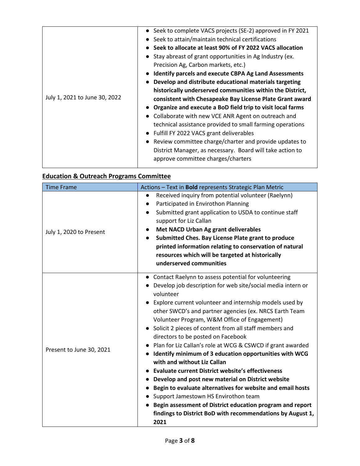|                               | • Seek to complete VACS projects (SE-2) approved in FY 2021  |
|-------------------------------|--------------------------------------------------------------|
|                               | Seek to attain/maintain technical certifications             |
|                               | Seek to allocate at least 90% of FY 2022 VACS allocation     |
|                               | • Stay abreast of grant opportunities in Ag Industry (ex.    |
|                               | Precision Ag, Carbon markets, etc.)                          |
|                               | <b>Identify parcels and execute CBPA Ag Land Assessments</b> |
|                               | Develop and distribute educational materials targeting       |
|                               | historically underserved communities within the District,    |
| July 1, 2021 to June 30, 2022 | consistent with Chesapeake Bay License Plate Grant award     |
|                               | Organize and execute a BoD field trip to visit local farms   |
|                               | Collaborate with new VCE ANR Agent on outreach and           |
|                               | technical assistance provided to small farming operations    |
|                               | • Fulfill FY 2022 VACS grant deliverables                    |
|                               | • Review committee charge/charter and provide updates to     |
|                               | District Manager, as necessary. Board will take action to    |
|                               | approve committee charges/charters                           |
|                               |                                                              |

## **Education & Outreach Programs Committee**

| <b>Time Frame</b>        | Actions - Text in Bold represents Strategic Plan Metric                                                                                                                                                                                                                                                                                                                                                                                                                                                                                                                                                                                                                                                                                                                                                                                                                                                                |
|--------------------------|------------------------------------------------------------------------------------------------------------------------------------------------------------------------------------------------------------------------------------------------------------------------------------------------------------------------------------------------------------------------------------------------------------------------------------------------------------------------------------------------------------------------------------------------------------------------------------------------------------------------------------------------------------------------------------------------------------------------------------------------------------------------------------------------------------------------------------------------------------------------------------------------------------------------|
| July 1, 2020 to Present  | Received inquiry from potential volunteer (Raelynn)<br>Participated in Envirothon Planning<br>Submitted grant application to USDA to continue staff<br>support for Liz Callan<br>Met NACD Urban Ag grant deliverables<br>Submitted Ches. Bay License Plate grant to produce<br>$\bullet$<br>printed information relating to conservation of natural<br>resources which will be targeted at historically                                                                                                                                                                                                                                                                                                                                                                                                                                                                                                                |
|                          | underserved communities                                                                                                                                                                                                                                                                                                                                                                                                                                                                                                                                                                                                                                                                                                                                                                                                                                                                                                |
| Present to June 30, 2021 | Contact Raelynn to assess potential for volunteering<br>Develop job description for web site/social media intern or<br>volunteer<br>Explore current volunteer and internship models used by<br>other SWCD's and partner agencies (ex. NRCS Earth Team<br>Volunteer Program, W&M Office of Engagement)<br>Solicit 2 pieces of content from all staff members and<br>directors to be posted on Facebook<br>Plan for Liz Callan's role at WCG & CSWCD if grant awarded<br>Identify minimum of 3 education opportunities with WCG<br>with and without Liz Callan<br><b>Evaluate current District website's effectiveness</b><br>Develop and post new material on District website<br>Begin to evaluate alternatives for website and email hosts<br>Support Jamestown HS Envirothon team<br>Begin assessment of District education program and report<br>findings to District BoD with recommendations by August 1,<br>2021 |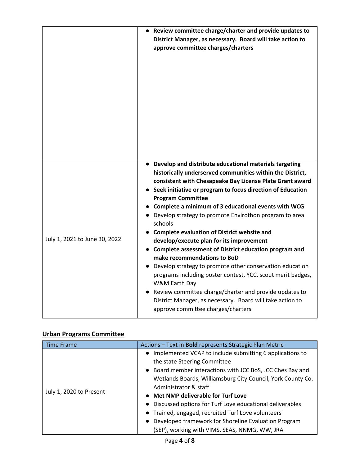|                               | • Review committee charge/charter and provide updates to<br>District Manager, as necessary. Board will take action to<br>approve committee charges/charters                                                                                                                                                                                                                                                                                                                                                                                                                                                                                                                                                                                                                                                                                                                                                            |
|-------------------------------|------------------------------------------------------------------------------------------------------------------------------------------------------------------------------------------------------------------------------------------------------------------------------------------------------------------------------------------------------------------------------------------------------------------------------------------------------------------------------------------------------------------------------------------------------------------------------------------------------------------------------------------------------------------------------------------------------------------------------------------------------------------------------------------------------------------------------------------------------------------------------------------------------------------------|
| July 1, 2021 to June 30, 2022 | • Develop and distribute educational materials targeting<br>historically underserved communities within the District,<br>consistent with Chesapeake Bay License Plate Grant award<br>• Seek initiative or program to focus direction of Education<br><b>Program Committee</b><br>• Complete a minimum of 3 educational events with WCG<br>• Develop strategy to promote Envirothon program to area<br>schools<br><b>Complete evaluation of District website and</b><br>develop/execute plan for its improvement<br>• Complete assessment of District education program and<br>make recommendations to BoD<br>• Develop strategy to promote other conservation education<br>programs including poster contest, YCC, scout merit badges,<br>W&M Earth Day<br>• Review committee charge/charter and provide updates to<br>District Manager, as necessary. Board will take action to<br>approve committee charges/charters |

#### **Urban Programs Committee**

| <b>Time Frame</b>       | Actions - Text in <b>Bold</b> represents Strategic Plan Metric |
|-------------------------|----------------------------------------------------------------|
| July 1, 2020 to Present | • Implemented VCAP to include submitting 6 applications to     |
|                         | the state Steering Committee                                   |
|                         | • Board member interactions with JCC BoS, JCC Ches Bay and     |
|                         | Wetlands Boards, Williamsburg City Council, York County Co.    |
|                         | Administrator & staff                                          |
|                         | • Met NMP deliverable for Turf Love                            |
|                         | • Discussed options for Turf Love educational deliverables     |
|                         | • Trained, engaged, recruited Turf Love volunteers             |
|                         | • Developed framework for Shoreline Evaluation Program         |
|                         | (SEP), working with VIMS, SEAS, NNMG, WW, JRA                  |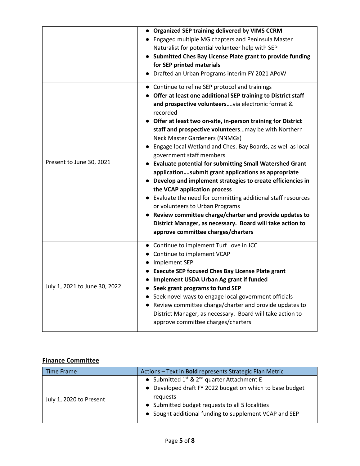|                               | <b>Organized SEP training delivered by VIMS CCRM</b><br>• Engaged multiple MG chapters and Peninsula Master<br>Naturalist for potential volunteer help with SEP<br>• Submitted Ches Bay License Plate grant to provide funding<br>for SEP printed materials<br>Drafted an Urban Programs interim FY 2021 APoW                                                                                                                                                                                                                                                                                                                                                                                                                                                                                                                                                                                                                  |
|-------------------------------|--------------------------------------------------------------------------------------------------------------------------------------------------------------------------------------------------------------------------------------------------------------------------------------------------------------------------------------------------------------------------------------------------------------------------------------------------------------------------------------------------------------------------------------------------------------------------------------------------------------------------------------------------------------------------------------------------------------------------------------------------------------------------------------------------------------------------------------------------------------------------------------------------------------------------------|
| Present to June 30, 2021      | • Continue to refine SEP protocol and trainings<br>Offer at least one additional SEP training to District staff<br>and prospective volunteersvia electronic format &<br>recorded<br>• Offer at least two on-site, in-person training for District<br>staff and prospective volunteersmay be with Northern<br>Neck Master Gardeners (NNMGs)<br>• Engage local Wetland and Ches. Bay Boards, as well as local<br>government staff members<br>• Evaluate potential for submitting Small Watershed Grant<br>applicationsubmit grant applications as appropriate<br>• Develop and implement strategies to create efficiencies in<br>the VCAP application process<br>• Evaluate the need for committing additional staff resources<br>or volunteers to Urban Programs<br>• Review committee charge/charter and provide updates to<br>District Manager, as necessary. Board will take action to<br>approve committee charges/charters |
| July 1, 2021 to June 30, 2022 | Continue to implement Turf Love in JCC<br>• Continue to implement VCAP<br>• Implement SEP<br>• Execute SEP focused Ches Bay License Plate grant<br>• Implement USDA Urban Ag grant if funded<br>• Seek grant programs to fund SEP<br>• Seek novel ways to engage local government officials<br>• Review committee charge/charter and provide updates to<br>District Manager, as necessary. Board will take action to<br>approve committee charges/charters                                                                                                                                                                                                                                                                                                                                                                                                                                                                     |

## **Finance Committee**

| <b>Time Frame</b>       | Actions - Text in <b>Bold</b> represents Strategic Plan Metric |
|-------------------------|----------------------------------------------------------------|
| July 1, 2020 to Present | • Submitted $1^{st}$ & $2^{nd}$ quarter Attachment E           |
|                         | • Developed draft FY 2022 budget on which to base budget       |
|                         | requests                                                       |
|                         | • Submitted budget requests to all 5 localities                |
|                         | • Sought additional funding to supplement VCAP and SEP         |
|                         |                                                                |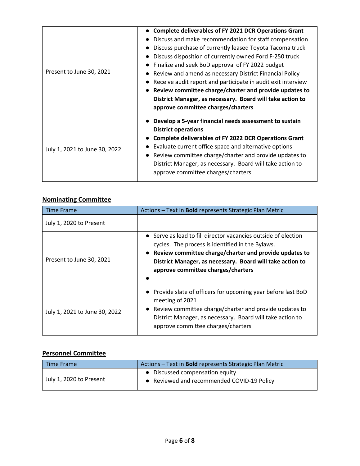| <b>Complete deliverables of FY 2021 DCR Operations Grant</b> |
|--------------------------------------------------------------|
| Discuss and make recommendation for staff compensation       |
| Discuss purchase of currently leased Toyota Tacoma truck     |
| Discuss disposition of currently owned Ford F-250 truck      |
| Finalize and seek BoD approval of FY 2022 budget             |
| Review and amend as necessary District Financial Policy      |
| Receive audit report and participate in audit exit interview |
| Review committee charge/charter and provide updates to       |
| District Manager, as necessary. Board will take action to    |
| approve committee charges/charters                           |
| • Develop a 5-year financial needs assessment to sustain     |
| <b>District operations</b>                                   |
| <b>Complete deliverables of FY 2022 DCR Operations Grant</b> |
| Evaluate current office space and alternative options        |
| Review committee charge/charter and provide updates to       |
| District Manager, as necessary. Board will take action to    |
| approve committee charges/charters                           |
|                                                              |

## **Nominating Committee**

| <b>Time Frame</b>             | Actions - Text in <b>Bold</b> represents Strategic Plan Metric                                                                                                                                                                                                                    |
|-------------------------------|-----------------------------------------------------------------------------------------------------------------------------------------------------------------------------------------------------------------------------------------------------------------------------------|
| July 1, 2020 to Present       |                                                                                                                                                                                                                                                                                   |
| Present to June 30, 2021      | • Serve as lead to fill director vacancies outside of election<br>cycles. The process is identified in the Bylaws.<br>• Review committee charge/charter and provide updates to<br>District Manager, as necessary. Board will take action to<br>approve committee charges/charters |
| July 1, 2021 to June 30, 2022 | • Provide slate of officers for upcoming year before last BoD<br>meeting of 2021<br>• Review committee charge/charter and provide updates to<br>District Manager, as necessary. Board will take action to<br>approve committee charges/charters                                   |

### **Personnel Committee**

| Time Frame              | Actions - Text in <b>Bold</b> represents Strategic Plan Metric                |
|-------------------------|-------------------------------------------------------------------------------|
| July 1, 2020 to Present | • Discussed compensation equity<br>• Reviewed and recommended COVID-19 Policy |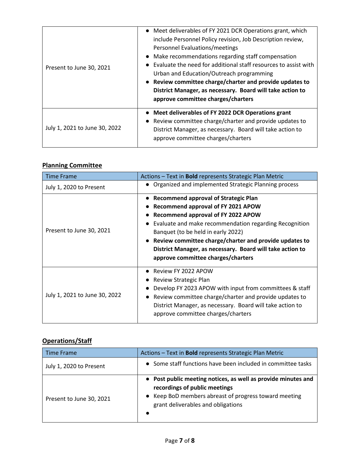| Present to June 30, 2021      | • Meet deliverables of FY 2021 DCR Operations grant, which<br>include Personnel Policy revision, Job Description review,<br>Personnel Evaluations/meetings<br>• Make recommendations regarding staff compensation<br>Evaluate the need for additional staff resources to assist with<br>Urban and Education/Outreach programming<br>• Review committee charge/charter and provide updates to<br>District Manager, as necessary. Board will take action to<br>approve committee charges/charters |
|-------------------------------|-------------------------------------------------------------------------------------------------------------------------------------------------------------------------------------------------------------------------------------------------------------------------------------------------------------------------------------------------------------------------------------------------------------------------------------------------------------------------------------------------|
| July 1, 2021 to June 30, 2022 | • Meet deliverables of FY 2022 DCR Operations grant<br>Review committee charge/charter and provide updates to<br>$\bullet$<br>District Manager, as necessary. Board will take action to<br>approve committee charges/charters                                                                                                                                                                                                                                                                   |

#### **Planning Committee**

| <b>Time Frame</b>             | Actions - Text in <b>Bold</b> represents Strategic Plan Metric                                                                                                                                                                                                                                                                                                                    |
|-------------------------------|-----------------------------------------------------------------------------------------------------------------------------------------------------------------------------------------------------------------------------------------------------------------------------------------------------------------------------------------------------------------------------------|
| July 1, 2020 to Present       | • Organized and implemented Strategic Planning process                                                                                                                                                                                                                                                                                                                            |
| Present to June 30, 2021      | • Recommend approval of Strategic Plan<br>Recommend approval of FY 2021 APOW<br>Recommend approval of FY 2022 APOW<br>Evaluate and make recommendation regarding Recognition<br>Banquet (to be held in early 2022)<br>• Review committee charge/charter and provide updates to<br>District Manager, as necessary. Board will take action to<br>approve committee charges/charters |
| July 1, 2021 to June 30, 2022 | Review FY 2022 APOW<br>Review Strategic Plan<br>Develop FY 2023 APOW with input from committees & staff<br>• Review committee charge/charter and provide updates to<br>District Manager, as necessary. Board will take action to<br>approve committee charges/charters                                                                                                            |

## **Operations/Staff**

| Time Frame               | Actions - Text in <b>Bold</b> represents Strategic Plan Metric                                                                                                                                             |
|--------------------------|------------------------------------------------------------------------------------------------------------------------------------------------------------------------------------------------------------|
| July 1, 2020 to Present  | • Some staff functions have been included in committee tasks                                                                                                                                               |
| Present to June 30, 2021 | • Post public meeting notices, as well as provide minutes and<br>recordings of public meetings<br>• Keep BoD members abreast of progress toward meeting<br>grant deliverables and obligations<br>$\bullet$ |